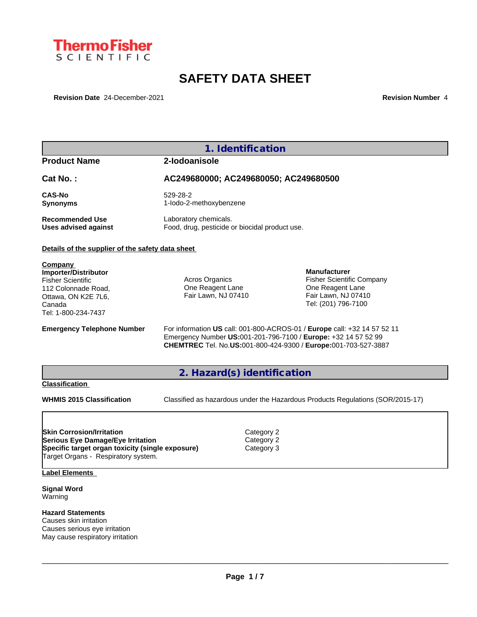

# **SAFETY DATA SHEET**

**Revision Date** 24-December-2021 **Revision Number** 4

# **1. Identification Product Name 2-Iodoanisole Cat No. : AC249680000; AC249680050; AC249680500 CAS-No** 529-28-2 **Synonyms** 1-Iodo-2-methoxybenzene **Recommended Use** Laboratory chemicals.<br> **Uses advised against** Food, drug, pesticide of Food, drug, pesticide or biocidal product use. **Details of the supplier of the safety data sheet Emergency Telephone Number** For information **US** call: 001-800-ACROS-01 / **Europe** call: +32 14 57 52 11 Emergency Number **US:**001-201-796-7100 / **Europe:** +32 14 57 52 99 **CHEMTREC** Tel. No.**US:**001-800-424-9300 / **Europe:**001-703-527-3887 **2. Hazard(s) identification Classification WHMIS 2015 Classification** Classified as hazardous under the Hazardous Products Regulations (SOR/2015-17) **Label Elements Company Importer/Distributor** Fisher Scientific 112 Colonnade Road, Ottawa, ON K2E 7L6, Canada Tel: 1-800-234-7437 Acros Organics One Reagent Lane Fair Lawn, NJ 07410 **Manufacturer** Fisher Scientific Company One Reagent Lane Fair Lawn, NJ 07410 Tel: (201) 796-7100 **Skin Corrosion/Irritation** Category 2 **Serious Eye Damage/Eye Irritation** Category 2 **Specific target organ toxicity (single exposure) Category 3** Target Organs - Respiratory system.

**Signal Word** Warning

**Hazard Statements** Causes skin irritation Causes serious eye irritation May cause respiratory irritation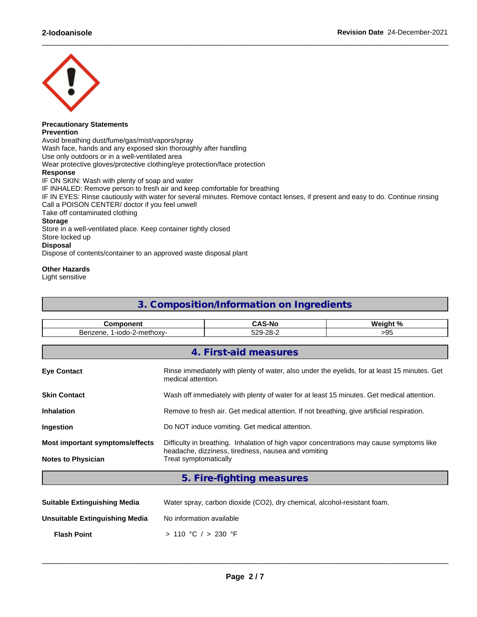

#### **Precautionary Statements Prevention**

Avoid breathing dust/fume/gas/mist/vapors/spray Wash face, hands and any exposed skin thoroughly after handling Use only outdoors or in a well-ventilated area Wear protective gloves/protective clothing/eye protection/face protection **Response** IF ON SKIN: Wash with plenty of soap and water IF INHALED: Remove person to fresh air and keep comfortable for breathing IF IN EYES: Rinse cautiously with water for several minutes. Remove contact lenses, if present and easy to do. Continue rinsing Call a POISON CENTER/ doctor if you feel unwell Take off contaminated clothing **Storage** Store in a well-ventilated place. Keep container tightly closed Store locked up **Disposal** Dispose of contents/container to an approved waste disposal plant

 $\_$  ,  $\_$  ,  $\_$  ,  $\_$  ,  $\_$  ,  $\_$  ,  $\_$  ,  $\_$  ,  $\_$  ,  $\_$  ,  $\_$  ,  $\_$  ,  $\_$  ,  $\_$  ,  $\_$  ,  $\_$  ,  $\_$  ,  $\_$  ,  $\_$  ,  $\_$  ,  $\_$  ,  $\_$  ,  $\_$  ,  $\_$  ,  $\_$  ,  $\_$  ,  $\_$  ,  $\_$  ,  $\_$  ,  $\_$  ,  $\_$  ,  $\_$  ,  $\_$  ,  $\_$  ,  $\_$  ,  $\_$  ,  $\_$  ,

## **Other Hazards**

Light sensitive

# **3. Composition/Information on Ingredients**

| ent<br>or                                           | -N/                | .<br>'araimbe |
|-----------------------------------------------------|--------------------|---------------|
| .mathovi<br>веі<br>יומרי<br>an<br>$\cdot$<br>11 J.A | ററ-<br>$\sim$<br>. | ື້<br>--      |

|                                 | 4. First-aid measures                                                                                                                           |
|---------------------------------|-------------------------------------------------------------------------------------------------------------------------------------------------|
| <b>Eye Contact</b>              | Rinse immediately with plenty of water, also under the eyelids, for at least 15 minutes. Get<br>medical attention.                              |
| <b>Skin Contact</b>             | Wash off immediately with plenty of water for at least 15 minutes. Get medical attention.                                                       |
| <b>Inhalation</b>               | Remove to fresh air. Get medical attention. If not breathing, give artificial respiration.                                                      |
| Ingestion                       | Do NOT induce vomiting. Get medical attention.                                                                                                  |
| Most important symptoms/effects | Difficulty in breathing. Inhalation of high vapor concentrations may cause symptoms like<br>headache, dizziness, tiredness, nausea and vomiting |
| <b>Notes to Physician</b>       | Treat symptomatically                                                                                                                           |
|                                 | 5. Fire-fighting measures                                                                                                                       |
|                                 |                                                                                                                                                 |

| <b>Suitable Extinguishing Media</b> | Water spray, carbon dioxide (CO2), dry chemical, alcohol-resistant foam. |
|-------------------------------------|--------------------------------------------------------------------------|
| Unsuitable Extinguishing Media      | No information available                                                 |
| <b>Flash Point</b>                  | > 110 °C / > 230 °F                                                      |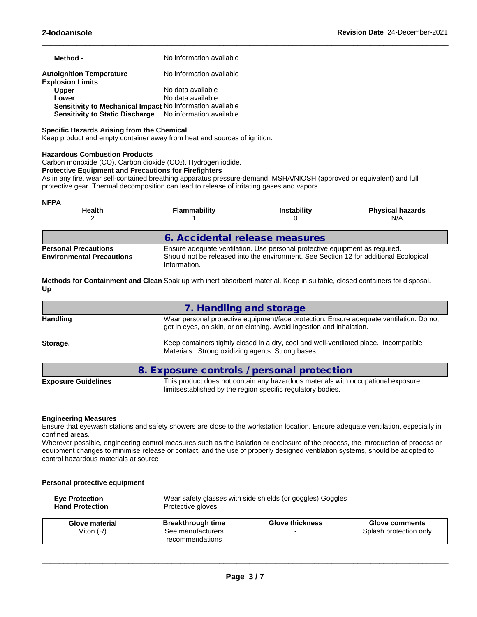| Method -                                                         | No information available |
|------------------------------------------------------------------|--------------------------|
| <b>Autoignition Temperature</b><br><b>Explosion Limits</b>       | No information available |
| <b>Upper</b>                                                     | No data available        |
| Lower                                                            | No data available        |
| <b>Sensitivity to Mechanical Impact No information available</b> |                          |
| Sensitivity to Static Discharge No information available         |                          |

### **Specific Hazards Arising from the Chemical**

Keep product and empty container away from heat and sources of ignition.

#### **Hazardous Combustion Products**

Carbon monoxide (CO). Carbon dioxide (CO2). Hydrogen iodide.

#### **Protective Equipment and Precautions for Firefighters**

As in any fire, wear self-contained breathing apparatus pressure-demand, MSHA/NIOSH (approved or equivalent) and full protective gear. Thermal decomposition can lead to release of irritating gases and vapors.

| <u>NFPA</u><br><b>Health</b>                                    | <b>Flammability</b>            | <b>Instability</b>                                                                                                                                                   | <b>Physical hazards</b><br>N/A |
|-----------------------------------------------------------------|--------------------------------|----------------------------------------------------------------------------------------------------------------------------------------------------------------------|--------------------------------|
|                                                                 | 6. Accidental release measures |                                                                                                                                                                      |                                |
| <b>Personal Precautions</b><br><b>Environmental Precautions</b> | Information.                   | Ensure adequate ventilation. Use personal protective equipment as required.<br>Should not be released into the environment. See Section 12 for additional Ecological |                                |

 $\_$  ,  $\_$  ,  $\_$  ,  $\_$  ,  $\_$  ,  $\_$  ,  $\_$  ,  $\_$  ,  $\_$  ,  $\_$  ,  $\_$  ,  $\_$  ,  $\_$  ,  $\_$  ,  $\_$  ,  $\_$  ,  $\_$  ,  $\_$  ,  $\_$  ,  $\_$  ,  $\_$  ,  $\_$  ,  $\_$  ,  $\_$  ,  $\_$  ,  $\_$  ,  $\_$  ,  $\_$  ,  $\_$  ,  $\_$  ,  $\_$  ,  $\_$  ,  $\_$  ,  $\_$  ,  $\_$  ,  $\_$  ,  $\_$  ,

**Methods for Containment and Clean** Soak up with inert absorbent material. Keep in suitable, closed containers for disposal. **Up**

|                            | 7. Handling and storage                                                                                                                                          |
|----------------------------|------------------------------------------------------------------------------------------------------------------------------------------------------------------|
| <b>Handling</b>            | Wear personal protective equipment/face protection. Ensure adequate ventilation. Do not<br>get in eyes, on skin, or on clothing. Avoid ingestion and inhalation. |
| Storage.                   | Keep containers tightly closed in a dry, cool and well-ventilated place. Incompatible<br>Materials. Strong oxidizing agents. Strong bases.                       |
|                            | 8. Exposure controls / personal protection                                                                                                                       |
| <b>Exposure Guidelines</b> | This product does not contain any hazardous materials with occupational exposure<br>limitsestablished by the region specific regulatory bodies.                  |

#### **Engineering Measures**

Ensure that eyewash stations and safety showers are close to the workstation location. Ensure adequate ventilation, especially in confined areas.

Wherever possible, engineering control measures such as the isolation or enclosure of the process, the introduction of process or equipment changes to minimise release or contact, and the use of properly designed ventilation systems, should be adopted to control hazardous materials at source

#### **Personal protective equipment**

| <b>Eve Protection</b><br><b>Hand Protection</b> | Protective gloves                    | Wear safety glasses with side shields (or goggles) Goggles |                        |
|-------------------------------------------------|--------------------------------------|------------------------------------------------------------|------------------------|
| <b>Glove material</b>                           | <b>Breakthrough time</b>             | <b>Glove thickness</b>                                     | <b>Glove comments</b>  |
| Viton $(R)$                                     | See manufacturers<br>recommendations | -                                                          | Splash protection only |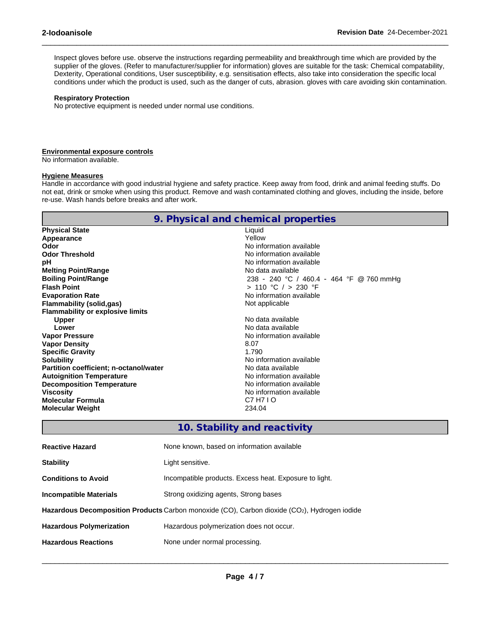Inspect gloves before use. observe the instructions regarding permeability and breakthrough time which are provided by the supplier of the gloves. (Refer to manufacturer/supplier for information) gloves are suitable for the task: Chemical compatability, Dexterity, Operational conditions, User susceptibility, e.g. sensitisation effects, also take into consideration the specific local conditions under which the product is used, such as the danger of cuts, abrasion. gloves with care avoiding skin contamination.

 $\_$  ,  $\_$  ,  $\_$  ,  $\_$  ,  $\_$  ,  $\_$  ,  $\_$  ,  $\_$  ,  $\_$  ,  $\_$  ,  $\_$  ,  $\_$  ,  $\_$  ,  $\_$  ,  $\_$  ,  $\_$  ,  $\_$  ,  $\_$  ,  $\_$  ,  $\_$  ,  $\_$  ,  $\_$  ,  $\_$  ,  $\_$  ,  $\_$  ,  $\_$  ,  $\_$  ,  $\_$  ,  $\_$  ,  $\_$  ,  $\_$  ,  $\_$  ,  $\_$  ,  $\_$  ,  $\_$  ,  $\_$  ,  $\_$  ,

#### **Respiratory Protection**

No protective equipment is needed under normal use conditions.

#### **Environmental exposure controls**

No information available.

#### **Hygiene Measures**

Handle in accordance with good industrial hygiene and safety practice. Keep away from food, drink and animal feeding stuffs. Do not eat, drink or smoke when using this product. Remove and wash contaminated clothing and gloves, including the inside, before re-use. Wash hands before breaks and after work.

|                                         | 9. Physical and chemical properties      |
|-----------------------------------------|------------------------------------------|
| <b>Physical State</b>                   | Liquid                                   |
| Appearance                              | Yellow                                   |
| Odor                                    | No information available                 |
| <b>Odor Threshold</b>                   | No information available                 |
| рH                                      | No information available                 |
| <b>Melting Point/Range</b>              | No data available                        |
| <b>Boiling Point/Range</b>              | 238 - 240 °C / 460.4 - 464 °F @ 760 mmHg |
| <b>Flash Point</b>                      | > 110 °C / > 230 °F                      |
| <b>Evaporation Rate</b>                 | No information available                 |
| Flammability (solid,gas)                | Not applicable                           |
| <b>Flammability or explosive limits</b> |                                          |
| <b>Upper</b>                            | No data available                        |
| Lower                                   | No data available                        |
| <b>Vapor Pressure</b>                   | No information available                 |
| <b>Vapor Density</b>                    | 8.07                                     |
| <b>Specific Gravity</b>                 | 1.790                                    |
| <b>Solubility</b>                       | No information available                 |
| Partition coefficient; n-octanol/water  | No data available                        |
| <b>Autoignition Temperature</b>         | No information available                 |
| <b>Decomposition Temperature</b>        | No information available                 |
| <b>Viscosity</b>                        | No information available                 |
| <b>Molecular Formula</b>                | C7 H7 I O                                |
| <b>Molecular Weight</b>                 | 234.04                                   |
|                                         |                                          |

## **10. Stability and reactivity**

| <b>Reactive Hazard</b>          | None known, based on information available                                                                |
|---------------------------------|-----------------------------------------------------------------------------------------------------------|
| <b>Stability</b>                | Light sensitive.                                                                                          |
| <b>Conditions to Avoid</b>      | Incompatible products. Excess heat. Exposure to light.                                                    |
| Incompatible Materials          | Strong oxidizing agents, Strong bases                                                                     |
|                                 | Hazardous Decomposition Products Carbon monoxide (CO), Carbon dioxide (CO <sub>2</sub> ), Hydrogen iodide |
| <b>Hazardous Polymerization</b> | Hazardous polymerization does not occur.                                                                  |
| <b>Hazardous Reactions</b>      | None under normal processing.                                                                             |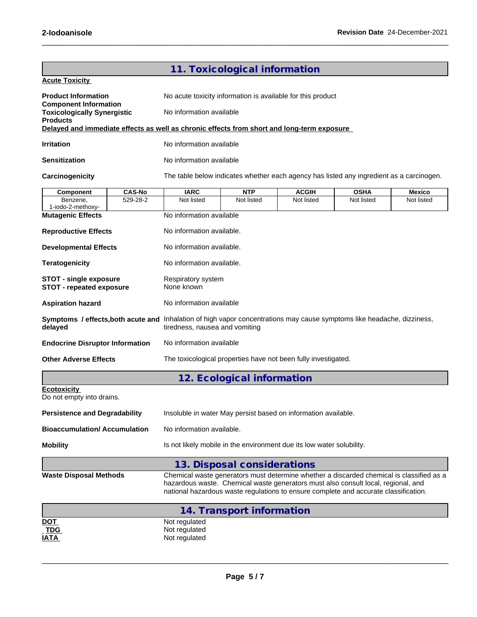|                                                                                            |               |                                                                                                                                                                                                                                                                       | 11. Toxicological information |              |             |            |  |  |  |
|--------------------------------------------------------------------------------------------|---------------|-----------------------------------------------------------------------------------------------------------------------------------------------------------------------------------------------------------------------------------------------------------------------|-------------------------------|--------------|-------------|------------|--|--|--|
| <b>Acute Toxicity</b>                                                                      |               |                                                                                                                                                                                                                                                                       |                               |              |             |            |  |  |  |
| <b>Product Information</b>                                                                 |               | No acute toxicity information is available for this product                                                                                                                                                                                                           |                               |              |             |            |  |  |  |
| <b>Component Information</b><br><b>Toxicologically Synergistic</b><br><b>Products</b>      |               | No information available                                                                                                                                                                                                                                              |                               |              |             |            |  |  |  |
| Delayed and immediate effects as well as chronic effects from short and long-term exposure |               |                                                                                                                                                                                                                                                                       |                               |              |             |            |  |  |  |
| <b>Irritation</b>                                                                          |               | No information available                                                                                                                                                                                                                                              |                               |              |             |            |  |  |  |
| Sensitization                                                                              |               | No information available                                                                                                                                                                                                                                              |                               |              |             |            |  |  |  |
| Carcinogenicity                                                                            |               | The table below indicates whether each agency has listed any ingredient as a carcinogen.                                                                                                                                                                              |                               |              |             |            |  |  |  |
| <b>Component</b>                                                                           | <b>CAS-No</b> | <b>IARC</b>                                                                                                                                                                                                                                                           | <b>NTP</b>                    | <b>ACGIH</b> | <b>OSHA</b> | Mexico     |  |  |  |
| Benzene,<br>1-iodo-2-methoxy-                                                              | 529-28-2      | Not listed                                                                                                                                                                                                                                                            | Not listed                    | Not listed   | Not listed  | Not listed |  |  |  |
| <b>Mutagenic Effects</b>                                                                   |               | No information available                                                                                                                                                                                                                                              |                               |              |             |            |  |  |  |
| <b>Reproductive Effects</b>                                                                |               | No information available.                                                                                                                                                                                                                                             |                               |              |             |            |  |  |  |
| <b>Developmental Effects</b>                                                               |               | No information available.                                                                                                                                                                                                                                             |                               |              |             |            |  |  |  |
| <b>Teratogenicity</b>                                                                      |               | No information available.                                                                                                                                                                                                                                             |                               |              |             |            |  |  |  |
| <b>STOT - single exposure</b><br><b>STOT - repeated exposure</b>                           |               | Respiratory system<br>None known                                                                                                                                                                                                                                      |                               |              |             |            |  |  |  |
| <b>Aspiration hazard</b>                                                                   |               | No information available                                                                                                                                                                                                                                              |                               |              |             |            |  |  |  |
| delayed                                                                                    |               | Symptoms / effects, both acute and Inhalation of high vapor concentrations may cause symptoms like headache, dizziness,<br>tiredness, nausea and vomiting                                                                                                             |                               |              |             |            |  |  |  |
| <b>Endocrine Disruptor Information</b>                                                     |               | No information available                                                                                                                                                                                                                                              |                               |              |             |            |  |  |  |
| <b>Other Adverse Effects</b>                                                               |               | The toxicological properties have not been fully investigated.                                                                                                                                                                                                        |                               |              |             |            |  |  |  |
|                                                                                            |               |                                                                                                                                                                                                                                                                       | 12. Ecological information    |              |             |            |  |  |  |
| <b>Ecotoxicity</b><br>Do not empty into drains.                                            |               |                                                                                                                                                                                                                                                                       |                               |              |             |            |  |  |  |
| <b>Persistence and Degradability</b>                                                       |               | Insoluble in water May persist based on information available.                                                                                                                                                                                                        |                               |              |             |            |  |  |  |
| <b>Bioaccumulation/ Accumulation</b>                                                       |               | No information available.                                                                                                                                                                                                                                             |                               |              |             |            |  |  |  |
| <b>Mobility</b>                                                                            |               | Is not likely mobile in the environment due its low water solubility.                                                                                                                                                                                                 |                               |              |             |            |  |  |  |
|                                                                                            |               |                                                                                                                                                                                                                                                                       | 13. Disposal considerations   |              |             |            |  |  |  |
| <b>Waste Disposal Methods</b>                                                              |               | Chemical waste generators must determine whether a discarded chemical is classified as a<br>hazardous waste. Chemical waste generators must also consult local, regional, and<br>national hazardous waste regulations to ensure complete and accurate classification. |                               |              |             |            |  |  |  |
|                                                                                            |               |                                                                                                                                                                                                                                                                       | 14. Transport information     |              |             |            |  |  |  |
| <b>DOT</b>                                                                                 |               | Not regulated                                                                                                                                                                                                                                                         |                               |              |             |            |  |  |  |
| <b>TDG</b>                                                                                 |               | Not regulated                                                                                                                                                                                                                                                         |                               |              |             |            |  |  |  |
| <u>IATA</u>                                                                                |               | Not regulated                                                                                                                                                                                                                                                         |                               |              |             |            |  |  |  |

 $\_$  ,  $\_$  ,  $\_$  ,  $\_$  ,  $\_$  ,  $\_$  ,  $\_$  ,  $\_$  ,  $\_$  ,  $\_$  ,  $\_$  ,  $\_$  ,  $\_$  ,  $\_$  ,  $\_$  ,  $\_$  ,  $\_$  ,  $\_$  ,  $\_$  ,  $\_$  ,  $\_$  ,  $\_$  ,  $\_$  ,  $\_$  ,  $\_$  ,  $\_$  ,  $\_$  ,  $\_$  ,  $\_$  ,  $\_$  ,  $\_$  ,  $\_$  ,  $\_$  ,  $\_$  ,  $\_$  ,  $\_$  ,  $\_$  ,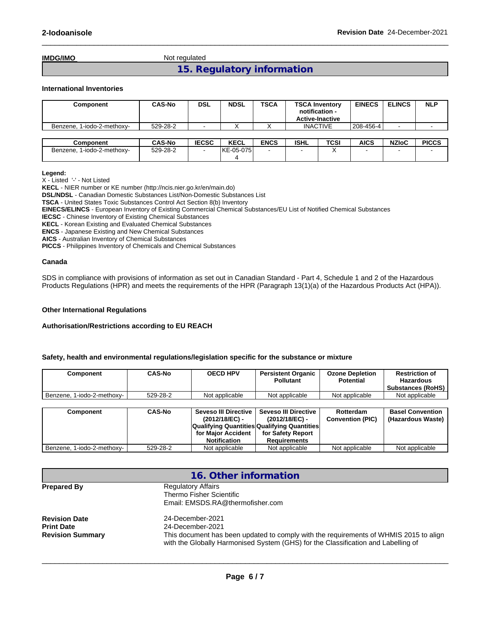**IMDG/IMO** Not regulated

# **15. Regulatory information**

 $\_$  ,  $\_$  ,  $\_$  ,  $\_$  ,  $\_$  ,  $\_$  ,  $\_$  ,  $\_$  ,  $\_$  ,  $\_$  ,  $\_$  ,  $\_$  ,  $\_$  ,  $\_$  ,  $\_$  ,  $\_$  ,  $\_$  ,  $\_$  ,  $\_$  ,  $\_$  ,  $\_$  ,  $\_$  ,  $\_$  ,  $\_$  ,  $\_$  ,  $\_$  ,  $\_$  ,  $\_$  ,  $\_$  ,  $\_$  ,  $\_$  ,  $\_$  ,  $\_$  ,  $\_$  ,  $\_$  ,  $\_$  ,  $\_$  ,

#### **International Inventories**

| Component                  | <b>CAS-No</b> | <b>DSL</b>   | <b>NDSL</b> | <b>TSCA</b> | <b>TSCA Inventory</b><br>notification -<br><b>Active-Inactive</b> |      | <b>EINECS</b> | <b>ELINCS</b> | <b>NLP</b>   |
|----------------------------|---------------|--------------|-------------|-------------|-------------------------------------------------------------------|------|---------------|---------------|--------------|
| Benzene, 1-iodo-2-methoxy- | 529-28-2      |              |             |             | <b>INACTIVE</b>                                                   |      | 208-456-4     |               |              |
|                            |               |              |             |             |                                                                   |      |               |               |              |
| <b>Component</b>           | <b>CAS-No</b> | <b>IECSC</b> | <b>KECL</b> | <b>ENCS</b> | <b>ISHL</b>                                                       | TCSI | <b>AICS</b>   | <b>NZIoC</b>  | <b>PICCS</b> |
| Benzene, 1-iodo-2-methoxy- | 529-28-2      |              | IKE-05-0751 |             |                                                                   | ⌒    |               |               |              |
|                            |               |              | 4           |             |                                                                   |      |               |               |              |

#### **Legend:**

X - Listed '-' - Not Listed

**KECL** - NIER number or KE number (http://ncis.nier.go.kr/en/main.do)

**DSL/NDSL** - Canadian Domestic Substances List/Non-Domestic Substances List

**TSCA** - United States Toxic Substances Control Act Section 8(b) Inventory

**EINECS/ELINCS** - European Inventory of Existing Commercial Chemical Substances/EU List of Notified Chemical Substances

**IECSC** - Chinese Inventory of Existing Chemical Substances

**KECL** - Korean Existing and Evaluated Chemical Substances

**ENCS** - Japanese Existing and New Chemical Substances

**AICS** - Australian Inventory of Chemical Substances

**PICCS** - Philippines Inventory of Chemicals and Chemical Substances

### **Canada**

SDS in compliance with provisions of information as set out in Canadian Standard - Part 4, Schedule 1 and 2 of the Hazardous Products Regulations (HPR) and meets the requirements of the HPR (Paragraph 13(1)(a) of the Hazardous Products Act (HPA)).

#### **Other International Regulations**

#### **Authorisation/Restrictions according to EU REACH**

#### **Safety, health and environmental regulations/legislation specific for the substance or mixture**

| Component                         | <b>CAS-No</b> | <b>Seveso III Directive</b><br>(2012/18/EC) -<br>for Maior Accident<br><b>Notification</b> | <b>Seveso III Directive</b><br>(2012/18/EC) -<br><b>Qualifying Quantities Qualifying Quantities</b><br>for Safety Report<br>Requirements | Rotterdam<br><b>Convention (PIC)</b> | <b>Basel Convention</b><br>(Hazardous Waste) |
|-----------------------------------|---------------|--------------------------------------------------------------------------------------------|------------------------------------------------------------------------------------------------------------------------------------------|--------------------------------------|----------------------------------------------|
| I Benzene.<br>1-iodo-2-methoxv- I | 529-28-2      | Not applicable                                                                             | Not applicable                                                                                                                           | Not applicable                       | Not applicable                               |

| <b>Regulatory Affairs</b><br>Thermo Fisher Scientific                                                                                                                      |  |  |  |
|----------------------------------------------------------------------------------------------------------------------------------------------------------------------------|--|--|--|
| Email: EMSDS.RA@thermofisher.com                                                                                                                                           |  |  |  |
|                                                                                                                                                                            |  |  |  |
| 24-December-2021                                                                                                                                                           |  |  |  |
| This document has been updated to comply with the requirements of WHMIS 2015 to align<br>with the Globally Harmonised System (GHS) for the Classification and Labelling of |  |  |  |
|                                                                                                                                                                            |  |  |  |